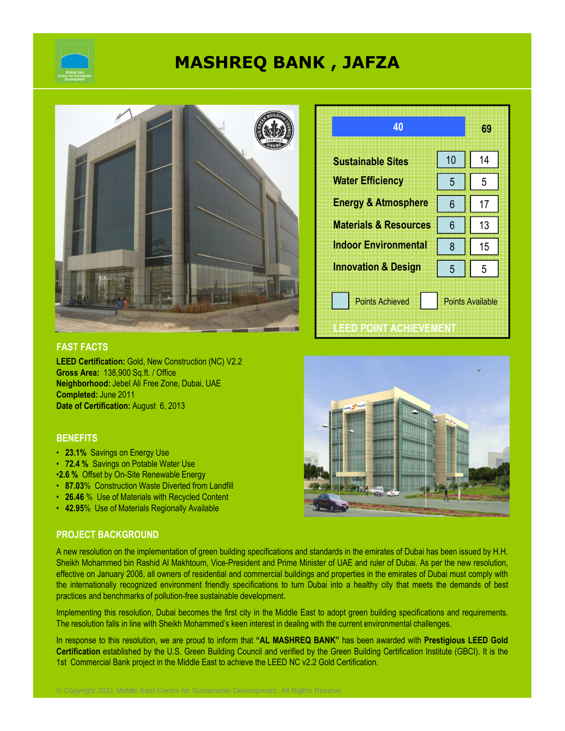

# **MASHREQ BANK , JAFZA**



| 40                               |                         | 69 |  |
|----------------------------------|-------------------------|----|--|
| <b>Sustainable Sites</b>         | 10                      | 14 |  |
| <b>Water Efficiency</b>          | 5                       | 5  |  |
| <b>Energy &amp; Atmosphere</b>   | 6                       | 17 |  |
| <b>Materials &amp; Resources</b> | 6                       | 13 |  |
| <b>Indoor Environmental</b>      | 8                       | 15 |  |
| <b>Innovation &amp; Design</b>   | 5                       | 5  |  |
| <b>Points Achieved</b>           | <b>Points Available</b> |    |  |

### **FAST FACTS**

**LEED Certification:** Gold, New Construction (NC) V2.2 **Gross Area:** 138,900 Sq.ft. / Office **Neighborhood:** Jebel Ali Free Zone, Dubai, UAE **Completed:** June 2011 **Date of Certification:** August 6, 2013

#### **BENEFITS**

- **23.1%** Savings on Energy Use
- **72.4 %** Savings on Potable Water Use
- •**2.6 %** Offset by On-Site Renewable Energy
- **87.03**% Construction Waste Diverted from Landfill
- **26.46** % Use of Materials with Recycled Content
- **42.95**% Use of Materials Regionally Available

## **PROJECT BACKGROUND**

A new resolution on the implementation of green building specifications and standards in the emirates of Dubai has been issued by H.H. Sheikh Mohammed bin Rashid Al Makhtoum, Vice-President and Prime Minister of UAE and ruler of Dubai. As per the new resolution, effective on January 2008, all owners of residential and commercial buildings and properties in the emirates of Dubai must comply with the internationally recognized environment friendly specifications to turn Dubai into a healthy city that meets the demands of best practices and benchmarks of pollution-free sustainable development.

Implementing this resolution, Dubai becomes the first city in the Middle East to adopt green building specifications and requirements. The resolution falls in line with Sheikh Mohammed's keen interest in dealing with the current environmental challenges.

In response to this resolution, we are proud to inform that **"AL MASHREQ BANK"** has been awarded with **Prestigious LEED Gold Certification** established by the U.S. Green Building Council and verified by the Green Building Certification Institute (GBCI). It is the 1st Commercial Bank project in the Middle East to achieve the LEED NC v2.2 Gold Certification.

© Copyright 2011 Middle East Centre for Sustainable Development. All Rights Reserve